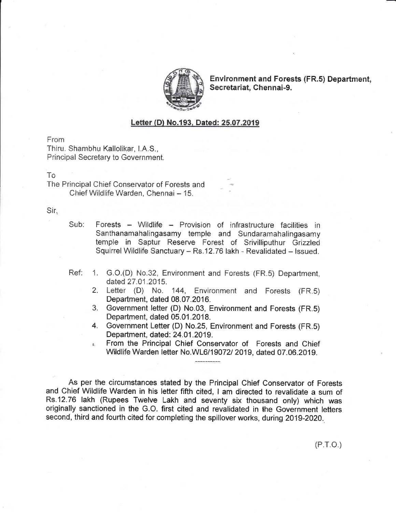

**Environment and Forests (FR.5) Department,** Secretariat, Chennai-9.

## Letter (D) No.193, Dated: 25.07.2019

From

Thiru. Shambhu Kallolikar, I.A.S., **Principal Secretary to Government.** 

## T<sub>o</sub>

The Principal Chief Conservator of Forests and Chief Wildlife Warden, Chennai - 15.

Sir.

- Forests Wildlife Provision of infrastructure facilities in  $Sub:$ Santhanamahalingasamy temple and Sundaramahalingasamy temple in Saptur Reserve Forest of Srivilliputhur Grizzled Squirrel Wildlife Sanctuary - Rs.12.76 lakh - Revalidated - Issued.
- Ref:  $1.$ G.O.(D) No.32, Environment and Forests (FR.5) Department, dated 27.01.2015.
	- 2. Letter (D) No. 144, Environment and Forests (FR.5) Department, dated 08.07.2016.
	- 3. Government letter (D) No.03, Environment and Forests (FR.5) Department, dated 05.01.2018.
	- 4. Government Letter (D) No.25, Environment and Forests (FR.5) Department, dated: 24.01.2019.
	- From the Principal Chief Conservator of Forests and Chief Wildlife Warden letter No.WL6/19072/ 2019, dated 07.06.2019.

As per the circumstances stated by the Principal Chief Conservator of Forests and Chief Wildlife Warden in his letter fifth cited, I am directed to revalidate a sum of Rs.12.76 lakh (Rupees Twelve Lakh and seventy six thousand only) which was originally sanctioned in the G.O. first cited and revalidated in the Government letters second, third and fourth cited for completing the spillover works, during 2019-2020.

 $(P.T.O.)$